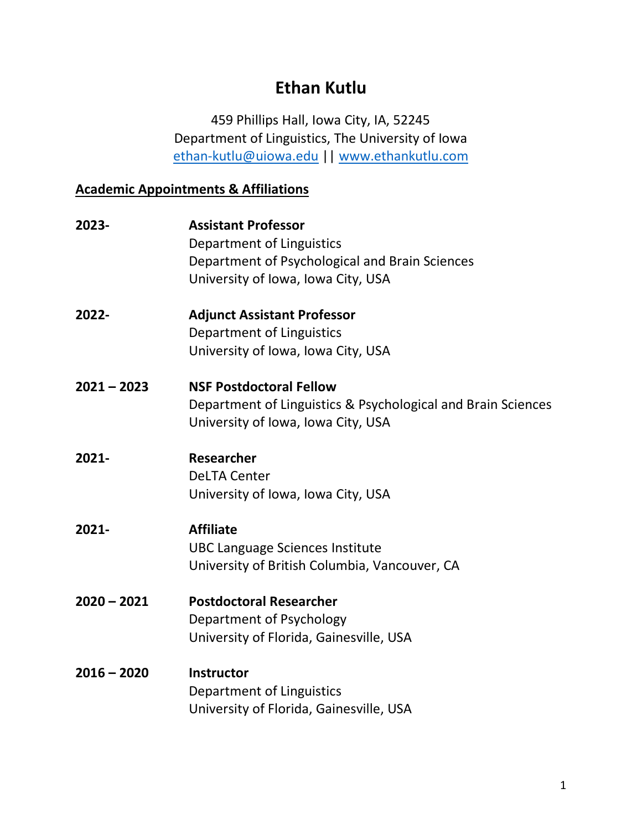# **Ethan Kutlu**

459 Phillips Hall, Iowa City, IA, 52245 Department of Linguistics, The University of Iowa [ethan-kutlu@uiowa.edu](mailto:ethan-kutlu@uiowa.edu) || [www.ethankutlu.com](http://www.ethankutlu.com/)

## **Academic Appointments & Affiliations**

| 2023-         | <b>Assistant Professor</b><br>Department of Linguistics<br>Department of Psychological and Brain Sciences<br>University of Iowa, Iowa City, USA |
|---------------|-------------------------------------------------------------------------------------------------------------------------------------------------|
| 2022-         | <b>Adjunct Assistant Professor</b><br>Department of Linguistics<br>University of Iowa, Iowa City, USA                                           |
| $2021 - 2023$ | <b>NSF Postdoctoral Fellow</b><br>Department of Linguistics & Psychological and Brain Sciences<br>University of Iowa, Iowa City, USA            |
| 2021-         | Researcher<br><b>DeLTA Center</b><br>University of Iowa, Iowa City, USA                                                                         |
| 2021-         | <b>Affiliate</b><br><b>UBC Language Sciences Institute</b><br>University of British Columbia, Vancouver, CA                                     |
| $2020 - 2021$ | <b>Postdoctoral Researcher</b><br>Department of Psychology<br>University of Florida, Gainesville, USA                                           |
| $2016 - 2020$ | <b>Instructor</b><br>Department of Linguistics<br>University of Florida, Gainesville, USA                                                       |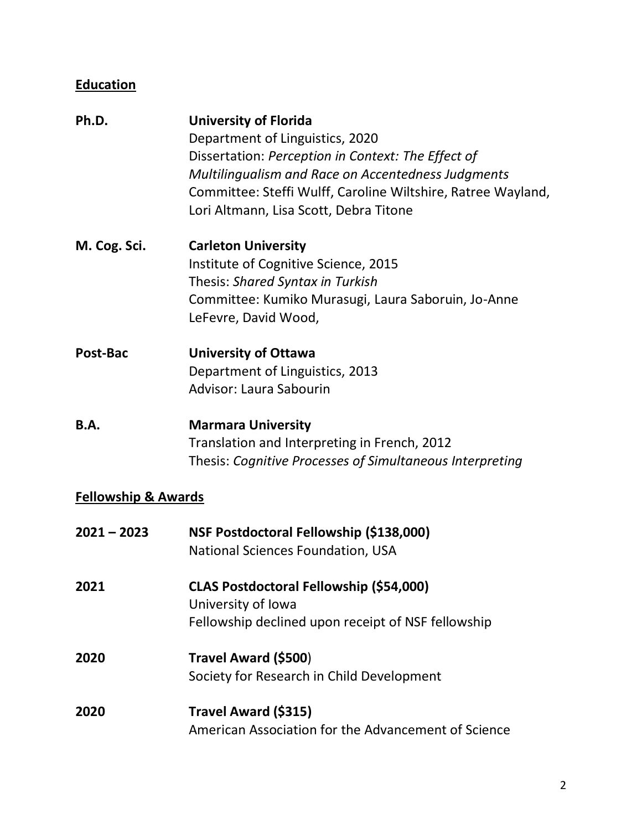# **Education**

| Ph.D.        | <b>University of Florida</b><br>Department of Linguistics, 2020<br>Dissertation: Perception in Context: The Effect of<br>Multilingualism and Race on Accentedness Judgments<br>Committee: Steffi Wulff, Caroline Wiltshire, Ratree Wayland,<br>Lori Altmann, Lisa Scott, Debra Titone |
|--------------|---------------------------------------------------------------------------------------------------------------------------------------------------------------------------------------------------------------------------------------------------------------------------------------|
| M. Cog. Sci. | <b>Carleton University</b><br>Institute of Cognitive Science, 2015<br>Thesis: Shared Syntax in Turkish<br>Committee: Kumiko Murasugi, Laura Saboruin, Jo-Anne<br>LeFevre, David Wood,                                                                                                 |
| Post-Bac     | <b>University of Ottawa</b><br>Department of Linguistics, 2013<br><b>Advisor: Laura Sabourin</b>                                                                                                                                                                                      |
| <b>B.A.</b>  | <b>Marmara University</b><br>Translation and Interpreting in French, 2012<br>Thesis: Cognitive Processes of Simultaneous Interpreting                                                                                                                                                 |

## **Fellowship & Awards**

| $2021 - 2023$ | NSF Postdoctoral Fellowship (\$138,000)<br>National Sciences Foundation, USA                                               |
|---------------|----------------------------------------------------------------------------------------------------------------------------|
| 2021          | <b>CLAS Postdoctoral Fellowship (\$54,000)</b><br>University of Iowa<br>Fellowship declined upon receipt of NSF fellowship |
| 2020          | Travel Award (\$500)<br>Society for Research in Child Development                                                          |
| 2020          | Travel Award (\$315)<br>American Association for the Advancement of Science                                                |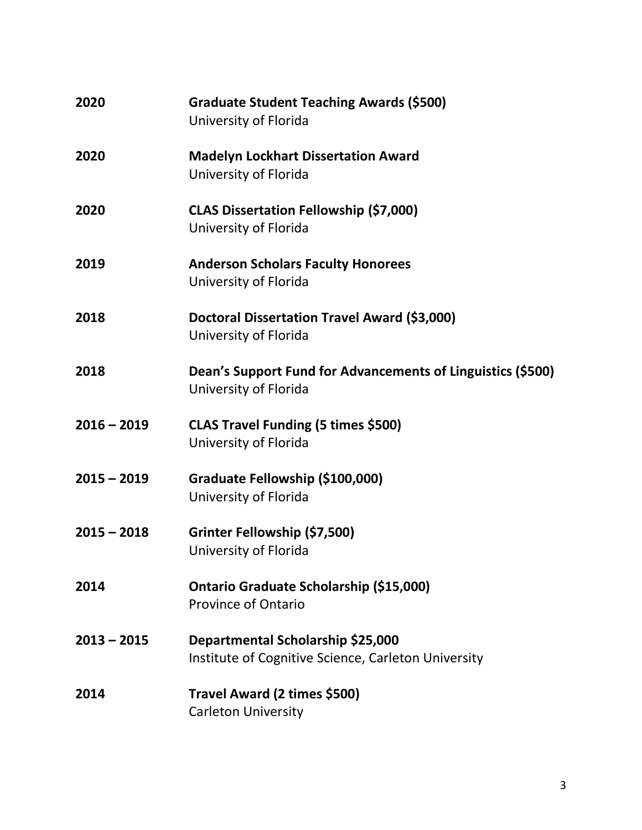| 2020          | <b>Graduate Student Teaching Awards (\$500)</b><br>University of Florida                 |
|---------------|------------------------------------------------------------------------------------------|
| 2020          | <b>Madelyn Lockhart Dissertation Award</b><br>University of Florida                      |
| 2020          | <b>CLAS Dissertation Fellowship (\$7,000)</b><br>University of Florida                   |
| 2019          | <b>Anderson Scholars Faculty Honorees</b><br>University of Florida                       |
| 2018          | Doctoral Dissertation Travel Award (\$3,000)<br>University of Florida                    |
| 2018          | Dean's Support Fund for Advancements of Linguistics (\$500)<br>University of Florida     |
| $2016 - 2019$ | CLAS Travel Funding (5 times \$500)<br>University of Florida                             |
| $2015 - 2019$ | Graduate Fellowship (\$100,000)<br>University of Florida                                 |
| $2015 - 2018$ | Grinter Fellowship (\$7,500)<br>University of Florida                                    |
| 2014          | Ontario Graduate Scholarship (\$15,000)<br><b>Province of Ontario</b>                    |
| $2013 - 2015$ | Departmental Scholarship \$25,000<br>Institute of Cognitive Science, Carleton University |
| 2014          | Travel Award (2 times \$500)<br><b>Carleton University</b>                               |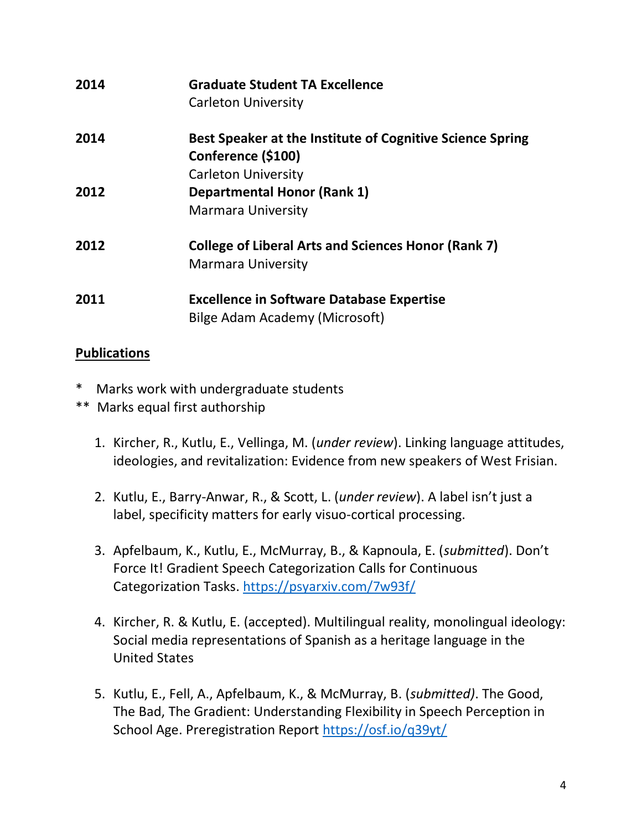| 2014 | <b>Graduate Student TA Excellence</b><br>Carleton University                            |
|------|-----------------------------------------------------------------------------------------|
| 2014 | Best Speaker at the Institute of Cognitive Science Spring<br>Conference (\$100)         |
|      | <b>Carleton University</b>                                                              |
| 2012 | <b>Departmental Honor (Rank 1)</b>                                                      |
|      | <b>Marmara University</b>                                                               |
| 2012 | <b>College of Liberal Arts and Sciences Honor (Rank 7)</b><br><b>Marmara University</b> |
| 2011 | <b>Excellence in Software Database Expertise</b><br>Bilge Adam Academy (Microsoft)      |

## **Publications**

- \* Marks work with undergraduate students
- \*\* Marks equal first authorship
	- 1. Kircher, R., Kutlu, E., Vellinga, M. (*under review*). Linking language attitudes, ideologies, and revitalization: Evidence from new speakers of West Frisian.
	- 2. Kutlu, E., Barry-Anwar, R., & Scott, L. (*under review*). A label isn't just a label, specificity matters for early visuo-cortical processing.
	- 3. Apfelbaum, K., Kutlu, E., McMurray, B., & Kapnoula, E. (*submitted*). Don't Force It! Gradient Speech Categorization Calls for Continuous Categorization Tasks.<https://psyarxiv.com/7w93f/>
	- 4. Kircher, R. & Kutlu, E. (accepted). Multilingual reality, monolingual ideology: Social media representations of Spanish as a heritage language in the United States
	- 5. Kutlu, E., Fell, A., Apfelbaum, K., & McMurray, B. (*submitted)*. The Good, The Bad, The Gradient: Understanding Flexibility in Speech Perception in School Age. Preregistration Report <https://osf.io/q39yt/>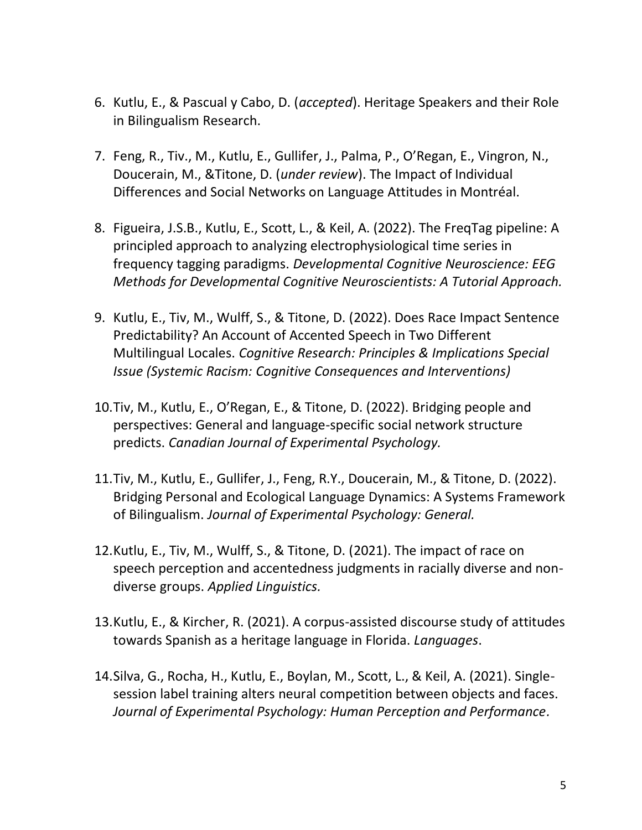- 6. Kutlu, E., & Pascual y Cabo, D. (*accepted*). Heritage Speakers and their Role in Bilingualism Research.
- 7. Feng, R., Tiv., M., Kutlu, E., Gullifer, J., Palma, P., O'Regan, E., Vingron, N., Doucerain, M., &Titone, D. (*under review*). The Impact of Individual Differences and Social Networks on Language Attitudes in Montréal.
- 8. Figueira, J.S.B., Kutlu, E., Scott, L., & Keil, A. (2022). The FreqTag pipeline: A principled approach to analyzing electrophysiological time series in frequency tagging paradigms. *Developmental Cognitive Neuroscience: EEG Methods for Developmental Cognitive Neuroscientists: A Tutorial Approach.*
- 9. Kutlu, E., Tiv, M., Wulff, S., & Titone, D. (2022). Does Race Impact Sentence Predictability? An Account of Accented Speech in Two Different Multilingual Locales. *Cognitive Research: Principles & Implications Special Issue (Systemic Racism: Cognitive Consequences and Interventions)*
- 10.Tiv, M., Kutlu, E., O'Regan, E., & Titone, D. (2022). Bridging people and perspectives: General and language-specific social network structure predicts. *Canadian Journal of Experimental Psychology.*
- 11.Tiv, M., Kutlu, E., Gullifer, J., Feng, R.Y., Doucerain, M., & Titone, D. (2022). Bridging Personal and Ecological Language Dynamics: A Systems Framework of Bilingualism. *Journal of Experimental Psychology: General.*
- 12.Kutlu, E., Tiv, M., Wulff, S., & Titone, D. (2021). The impact of race on speech perception and accentedness judgments in racially diverse and nondiverse groups. *Applied Linguistics.*
- 13.Kutlu, E., & Kircher, R. (2021). A corpus-assisted discourse study of attitudes towards Spanish as a heritage language in Florida. *Languages*.
- 14.Silva, G., Rocha, H., Kutlu, E., Boylan, M., Scott, L., & Keil, A. (2021). Singlesession label training alters neural competition between objects and faces. *Journal of Experimental Psychology: Human Perception and Performance.*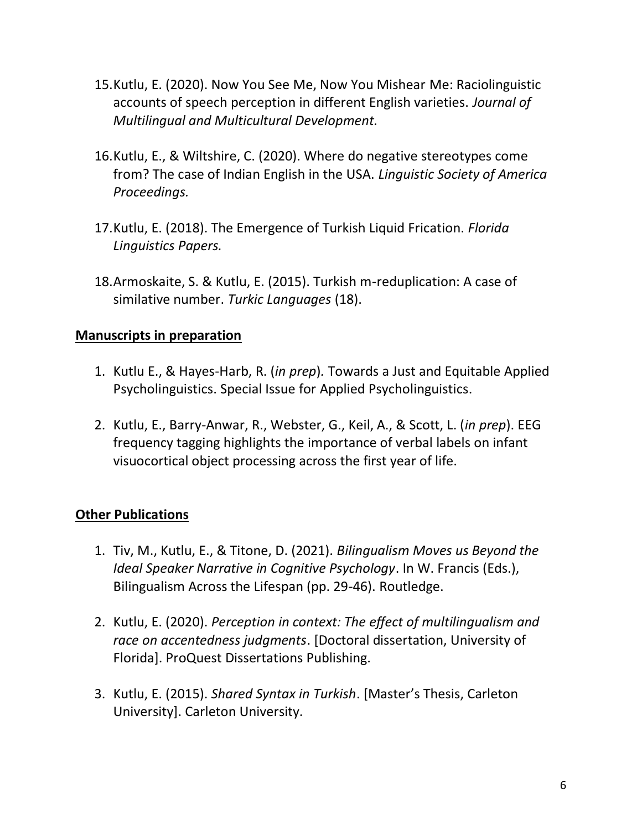- 15.Kutlu, E. (2020). Now You See Me, Now You Mishear Me: Raciolinguistic accounts of speech perception in different English varieties. *Journal of Multilingual and Multicultural Development.*
- 16.Kutlu, E., & Wiltshire, C. (2020). Where do negative stereotypes come from? The case of Indian English in the USA. *Linguistic Society of America Proceedings.*
- 17.Kutlu, E. (2018). The Emergence of Turkish Liquid Frication. *Florida Linguistics Papers.*
- 18.Armoskaite, S. & Kutlu, E. (2015). Turkish m-reduplication: A case of similative number. *Turkic Languages* (18).

#### **Manuscripts in preparation**

- 1. Kutlu E., & Hayes-Harb, R. (*in prep*)*.* Towards a Just and Equitable Applied Psycholinguistics. Special Issue for Applied Psycholinguistics.
- 2. Kutlu, E., Barry-Anwar, R., Webster, G., Keil, A., & Scott, L. (*in prep*). EEG frequency tagging highlights the importance of verbal labels on infant visuocortical object processing across the first year of life.

#### **Other Publications**

- 1. Tiv, M., Kutlu, E., & Titone, D. (2021). *Bilingualism Moves us Beyond the Ideal Speaker Narrative in Cognitive Psychology*. In W. Francis (Eds.), Bilingualism Across the Lifespan (pp. 29-46). Routledge.
- 2. Kutlu, E. (2020). *Perception in context: The effect of multilingualism and race on accentedness judgments*. [Doctoral dissertation, University of Florida]. ProQuest Dissertations Publishing.
- 3. Kutlu, E. (2015). *Shared Syntax in Turkish*. [Master's Thesis, Carleton University]. Carleton University.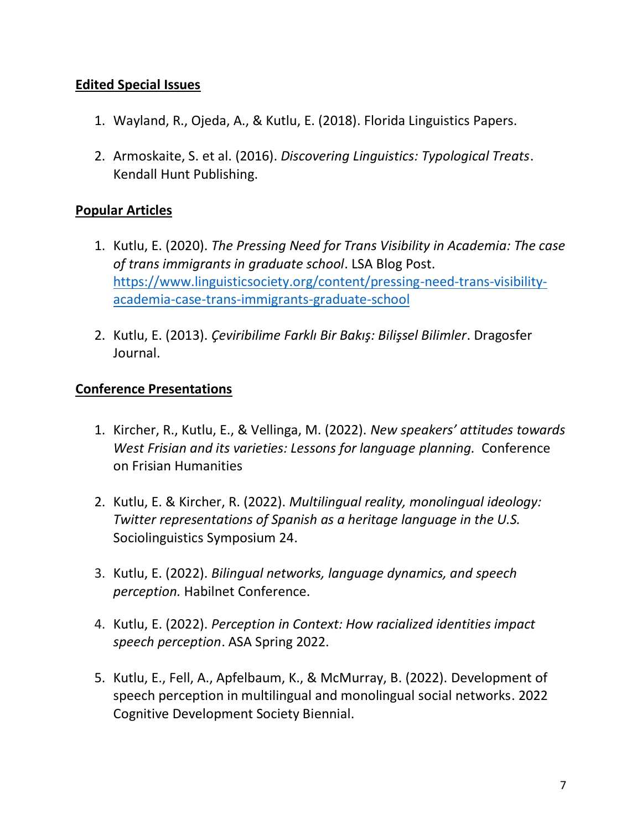### **Edited Special Issues**

- 1. Wayland, R., Ojeda, A., & Kutlu, E. (2018). Florida Linguistics Papers.
- 2. Armoskaite, S. et al. (2016). *Discovering Linguistics: Typological Treats*. Kendall Hunt Publishing.

### **Popular Articles**

- 1. Kutlu, E. (2020). *The Pressing Need for Trans Visibility in Academia: The case of trans immigrants in graduate school*. LSA Blog Post. [https://www.linguisticsociety.org/content/pressing-need-trans-visibility](https://www.linguisticsociety.org/content/pressing-need-trans-visibility-academia-case-trans-immigrants-graduate-school)[academia-case-trans-immigrants-graduate-school](https://www.linguisticsociety.org/content/pressing-need-trans-visibility-academia-case-trans-immigrants-graduate-school)
- 2. Kutlu, E. (2013). *Çeviribilime Farklı Bir Bakış: Bilişsel Bilimler*. Dragosfer Journal.

#### **Conference Presentations**

- 1. Kircher, R., Kutlu, E., & Vellinga, M. (2022). *New speakers' attitudes towards West Frisian and its varieties: Lessons for language planning.* Conference on Frisian Humanities
- 2. Kutlu, E. & Kircher, R. (2022). *Multilingual reality, monolingual ideology: Twitter representations of Spanish as a heritage language in the U.S.* Sociolinguistics Symposium 24.
- 3. Kutlu, E. (2022). *Bilingual networks, language dynamics, and speech perception.* Habilnet Conference.
- 4. Kutlu, E. (2022). *Perception in Context: How racialized identities impact speech perception*. ASA Spring 2022.
- 5. Kutlu, E., Fell, A., Apfelbaum, K., & McMurray, B. (2022). Development of speech perception in multilingual and monolingual social networks. 2022 Cognitive Development Society Biennial.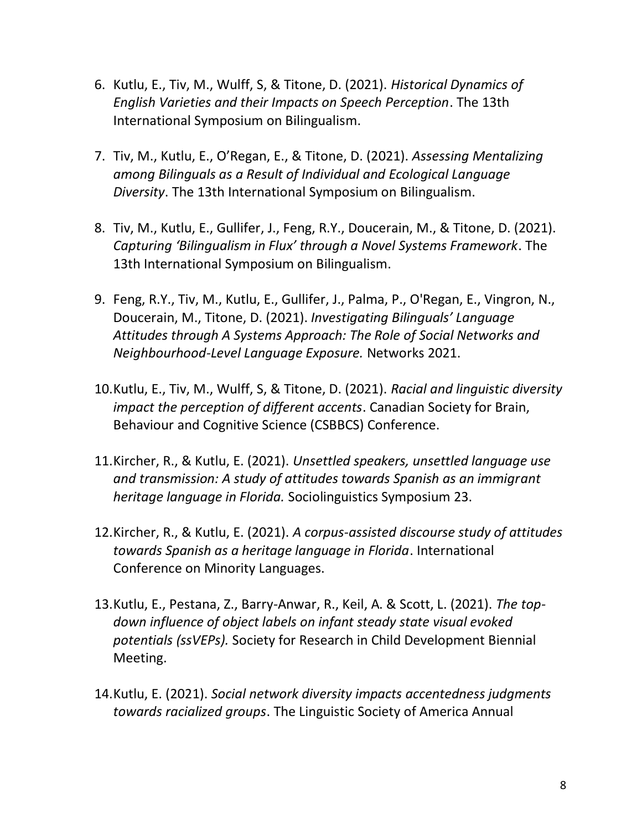- 6. Kutlu, E., Tiv, M., Wulff, S, & Titone, D. (2021). *Historical Dynamics of English Varieties and their Impacts on Speech Perception*. The 13th International Symposium on Bilingualism.
- 7. Tiv, M., Kutlu, E., O'Regan, E., & Titone, D. (2021). *Assessing Mentalizing among Bilinguals as a Result of Individual and Ecological Language Diversity*. The 13th International Symposium on Bilingualism.
- 8. Tiv, M., Kutlu, E., Gullifer, J., Feng, R.Y., Doucerain, M., & Titone, D. (2021). *Capturing 'Bilingualism in Flux' through a Novel Systems Framework*. The 13th International Symposium on Bilingualism.
- 9. Feng, R.Y., Tiv, M., Kutlu, E., Gullifer, J., Palma, P., O'Regan, E., Vingron, N., Doucerain, M., Titone, D. (2021). *Investigating Bilinguals' Language Attitudes through A Systems Approach: The Role of Social Networks and Neighbourhood-Level Language Exposure.* Networks 2021.
- 10.Kutlu, E., Tiv, M., Wulff, S, & Titone, D. (2021). *Racial and linguistic diversity impact the perception of different accents*. Canadian Society for Brain, Behaviour and Cognitive Science (CSBBCS) Conference.
- 11.Kircher, R., & Kutlu, E. (2021). *Unsettled speakers, unsettled language use and transmission: A study of attitudes towards Spanish as an immigrant heritage language in Florida.* Sociolinguistics Symposium 23.
- 12.Kircher, R., & Kutlu, E. (2021). *A corpus-assisted discourse study of attitudes towards Spanish as a heritage language in Florida*. International Conference on Minority Languages.
- 13.Kutlu, E., Pestana, Z., Barry-Anwar, R., Keil, A. & Scott, L. (2021). *The topdown influence of object labels on infant steady state visual evoked potentials (ssVEPs).* Society for Research in Child Development Biennial Meeting.
- 14.Kutlu, E. (2021). *Social network diversity impacts accentedness judgments towards racialized groups*. The Linguistic Society of America Annual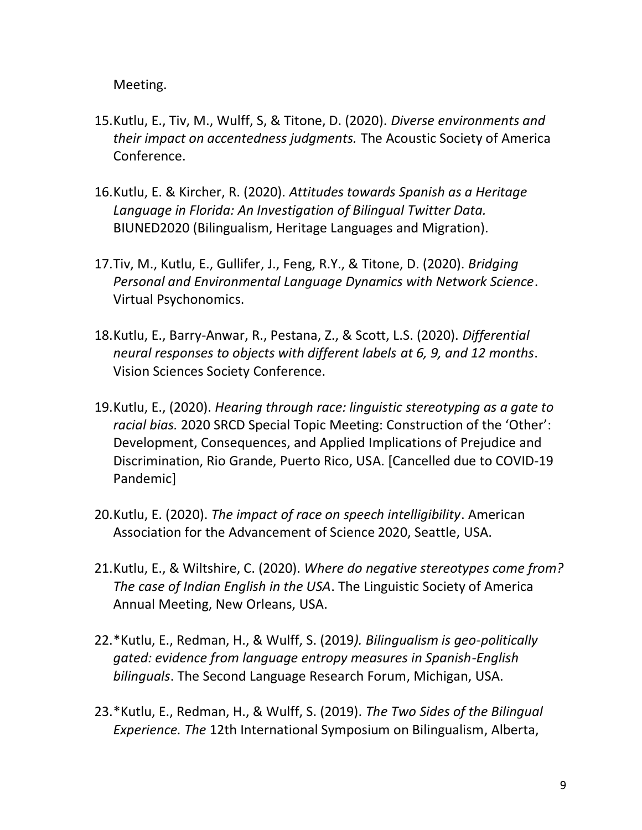Meeting.

- 15.Kutlu, E., Tiv, M., Wulff, S, & Titone, D. (2020). *Diverse environments and their impact on accentedness judgments.* The Acoustic Society of America Conference.
- 16.Kutlu, E. & Kircher, R. (2020). *Attitudes towards Spanish as a Heritage Language in Florida: An Investigation of Bilingual Twitter Data.* BIUNED2020 (Bilingualism, Heritage Languages and Migration).
- 17.Tiv, M., Kutlu, E., Gullifer, J., Feng, R.Y., & Titone, D. (2020). *Bridging Personal and Environmental Language Dynamics with Network Science*. Virtual Psychonomics.
- 18.Kutlu, E., Barry-Anwar, R., Pestana, Z., & Scott, L.S. (2020). *Differential neural responses to objects with different labels at 6, 9, and 12 months*. Vision Sciences Society Conference.
- 19.Kutlu, E., (2020). *Hearing through race: linguistic stereotyping as a gate to racial bias.* 2020 SRCD Special Topic Meeting: Construction of the 'Other': Development, Consequences, and Applied Implications of Prejudice and Discrimination, Rio Grande, Puerto Rico, USA. [Cancelled due to COVID-19 Pandemic]
- 20.Kutlu, E. (2020). *The impact of race on speech intelligibility*. American Association for the Advancement of Science 2020, Seattle, USA.
- 21.Kutlu, E., & Wiltshire, C. (2020). *Where do negative stereotypes come from? The case of Indian English in the USA*. The Linguistic Society of America Annual Meeting, New Orleans, USA.
- 22.\*Kutlu, E., Redman, H., & Wulff, S. (2019*). Bilingualism is geo-politically gated: evidence from language entropy measures in Spanish-English bilinguals*. The Second Language Research Forum, Michigan, USA.
- 23.\*Kutlu, E., Redman, H., & Wulff, S. (2019). *The Two Sides of the Bilingual Experience. The* 12th International Symposium on Bilingualism, Alberta,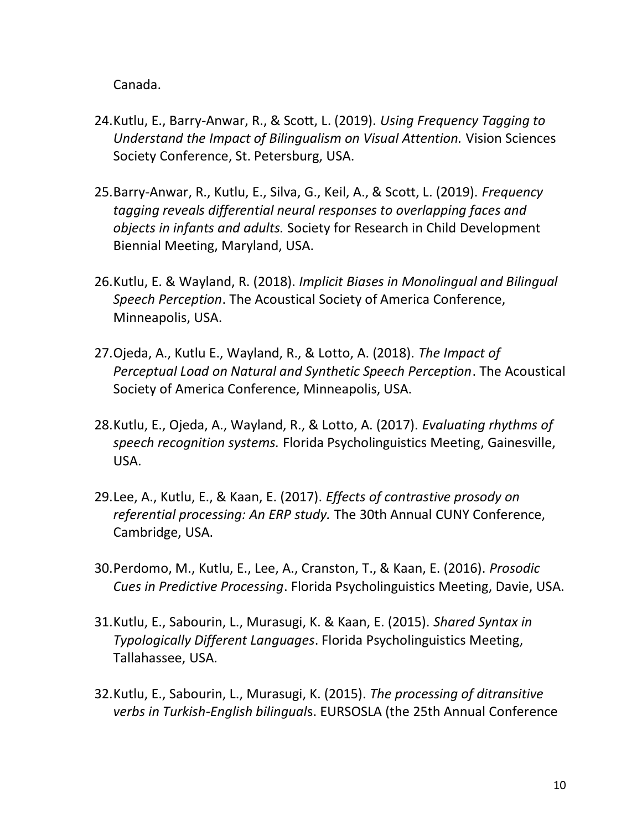Canada.

- 24.Kutlu, E., Barry-Anwar, R., & Scott, L. (2019). *Using Frequency Tagging to Understand the Impact of Bilingualism on Visual Attention.* Vision Sciences Society Conference, St. Petersburg, USA.
- 25.Barry-Anwar, R., Kutlu, E., Silva, G., Keil, A., & Scott, L. (2019). *Frequency tagging reveals differential neural responses to overlapping faces and objects in infants and adults.* Society for Research in Child Development Biennial Meeting, Maryland, USA.
- 26.Kutlu, E. & Wayland, R. (2018). *Implicit Biases in Monolingual and Bilingual Speech Perception*. The Acoustical Society of America Conference, Minneapolis, USA.
- 27.Ojeda, A., Kutlu E., Wayland, R., & Lotto, A. (2018). *The Impact of Perceptual Load on Natural and Synthetic Speech Perception*. The Acoustical Society of America Conference, Minneapolis, USA.
- 28.Kutlu, E., Ojeda, A., Wayland, R., & Lotto, A. (2017). *Evaluating rhythms of speech recognition systems.* Florida Psycholinguistics Meeting, Gainesville, USA.
- 29.Lee, A., Kutlu, E., & Kaan, E. (2017). *Effects of contrastive prosody on referential processing: An ERP study.* The 30th Annual CUNY Conference, Cambridge, USA.
- 30.Perdomo, M., Kutlu, E., Lee, A., Cranston, T., & Kaan, E. (2016). *Prosodic Cues in Predictive Processing*. Florida Psycholinguistics Meeting, Davie, USA.
- 31.Kutlu, E., Sabourin, L., Murasugi, K. & Kaan, E. (2015). *Shared Syntax in Typologically Different Languages*. Florida Psycholinguistics Meeting, Tallahassee, USA.
- 32.Kutlu, E., Sabourin, L., Murasugi, K. (2015). *The processing of ditransitive verbs in Turkish-English bilingual*s. EURSOSLA (the 25th Annual Conference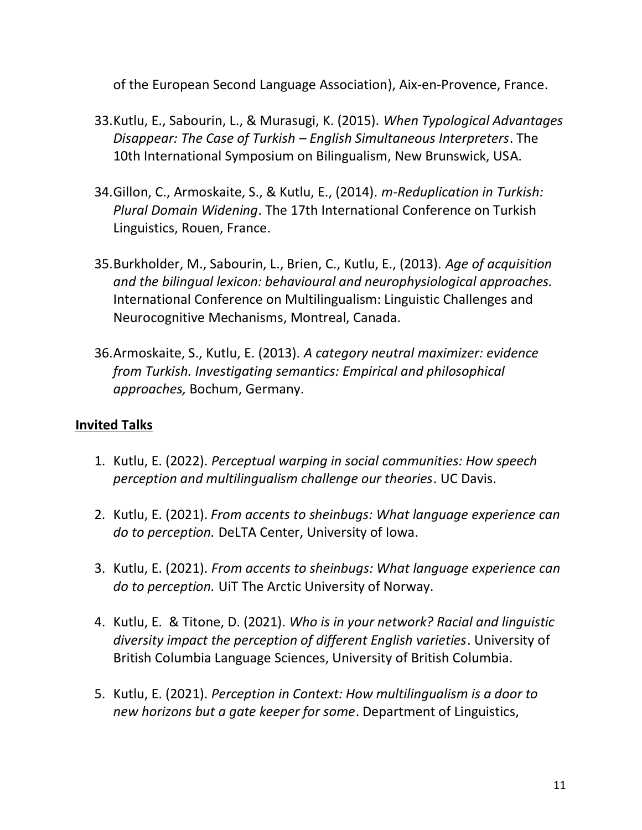of the European Second Language Association), Aix-en-Provence, France.

- 33.Kutlu, E., Sabourin, L., & Murasugi, K. (2015). *When Typological Advantages Disappear: The Case of Turkish – English Simultaneous Interpreters*. The 10th International Symposium on Bilingualism, New Brunswick, USA.
- 34.Gillon, C., Armoskaite, S., & Kutlu, E., (2014). *m-Reduplication in Turkish: Plural Domain Widening*. The 17th International Conference on Turkish Linguistics, Rouen, France.
- 35.Burkholder, M., Sabourin, L., Brien, C., Kutlu, E., (2013). *Age of acquisition and the bilingual lexicon: behavioural and neurophysiological approaches.* International Conference on Multilingualism: Linguistic Challenges and Neurocognitive Mechanisms, Montreal, Canada.
- 36.Armoskaite, S., Kutlu, E. (2013). *A category neutral maximizer: evidence from Turkish. Investigating semantics: Empirical and philosophical approaches,* Bochum, Germany.

## **Invited Talks**

- 1. Kutlu, E. (2022). *Perceptual warping in social communities: How speech perception and multilingualism challenge our theories*. UC Davis.
- 2. Kutlu, E. (2021). *From accents to sheinbugs: What language experience can do to perception.* DeLTA Center, University of Iowa.
- 3. Kutlu, E. (2021). *From accents to sheinbugs: What language experience can do to perception.* UiT The Arctic University of Norway.
- 4. Kutlu, E. & Titone, D. (2021). *Who is in your network? Racial and linguistic diversity impact the perception of different English varieties*. University of British Columbia Language Sciences, University of British Columbia.
- 5. Kutlu, E. (2021). *Perception in Context: How multilingualism is a door to new horizons but a gate keeper for some*. Department of Linguistics,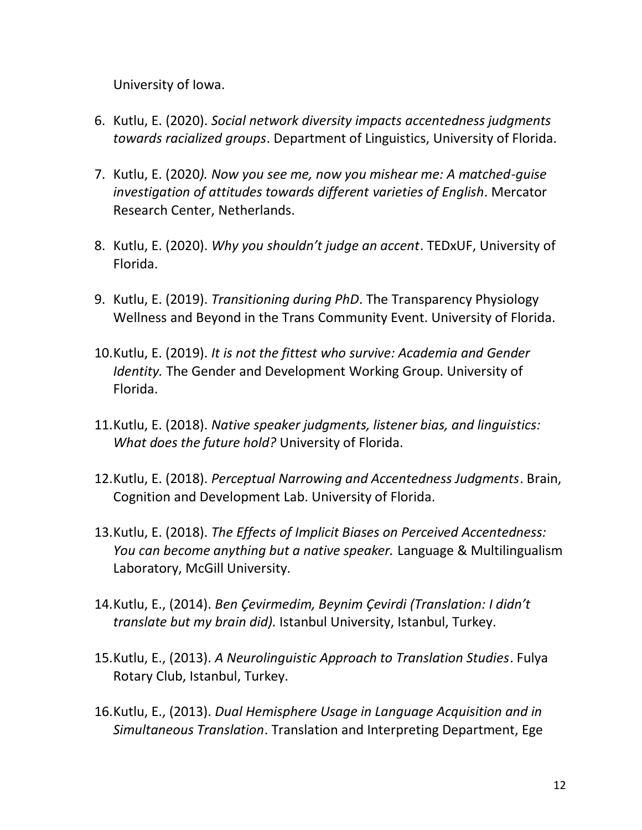University of Iowa.

- 6. Kutlu, E. (2020). *Social network diversity impacts accentedness judgments towards racialized groups*. Department of Linguistics, University of Florida.
- 7. Kutlu, E. (2020*). Now you see me, now you mishear me: A matched-guise investigation of attitudes towards different varieties of English*. Mercator Research Center, Netherlands.
- 8. Kutlu, E. (2020). *Why you shouldn't judge an accent*. TEDxUF, University of Florida.
- 9. Kutlu, E. (2019). *Transitioning during PhD*. The Transparency Physiology Wellness and Beyond in the Trans Community Event. University of Florida.
- 10.Kutlu, E. (2019). *It is not the fittest who survive: Academia and Gender Identity.* The Gender and Development Working Group. University of Florida.
- 11.Kutlu, E. (2018). *Native speaker judgments, listener bias, and linguistics: What does the future hold?* University of Florida.
- 12.Kutlu, E. (2018). *Perceptual Narrowing and Accentedness Judgments*. Brain, Cognition and Development Lab. University of Florida.
- 13.Kutlu, E. (2018). *The Effects of Implicit Biases on Perceived Accentedness: You can become anything but a native speaker.* Language & Multilingualism Laboratory, McGill University.
- 14.Kutlu, E., (2014). *Ben Çevirmedim, Beynim Çevirdi (Translation: I didn't translate but my brain did).* Istanbul University, Istanbul, Turkey.
- 15.Kutlu, E., (2013). *A Neurolinguistic Approach to Translation Studies*. Fulya Rotary Club, Istanbul, Turkey.
- 16.Kutlu, E., (2013). *Dual Hemisphere Usage in Language Acquisition and in Simultaneous Translation*. Translation and Interpreting Department, Ege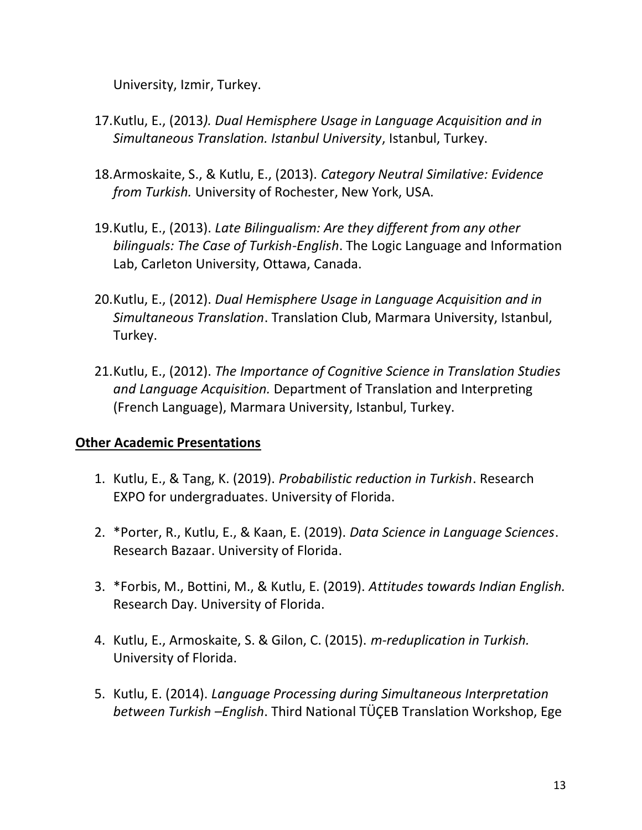University, Izmir, Turkey.

- 17.Kutlu, E., (2013*). Dual Hemisphere Usage in Language Acquisition and in Simultaneous Translation. Istanbul University*, Istanbul, Turkey.
- 18.Armoskaite, S., & Kutlu, E., (2013). *Category Neutral Similative: Evidence from Turkish.* University of Rochester, New York, USA.
- 19.Kutlu, E., (2013). *Late Bilingualism: Are they different from any other bilinguals: The Case of Turkish-English*. The Logic Language and Information Lab, Carleton University, Ottawa, Canada.
- 20.Kutlu, E., (2012). *Dual Hemisphere Usage in Language Acquisition and in Simultaneous Translation*. Translation Club, Marmara University, Istanbul, Turkey.
- 21.Kutlu, E., (2012). *The Importance of Cognitive Science in Translation Studies and Language Acquisition.* Department of Translation and Interpreting (French Language), Marmara University, Istanbul, Turkey.

#### **Other Academic Presentations**

- 1. Kutlu, E., & Tang, K. (2019). *Probabilistic reduction in Turkish*. Research EXPO for undergraduates. University of Florida.
- 2. \*Porter, R., Kutlu, E., & Kaan, E. (2019). *Data Science in Language Sciences*. Research Bazaar. University of Florida.
- 3. \*Forbis, M., Bottini, M., & Kutlu, E. (2019). *Attitudes towards Indian English.* Research Day. University of Florida.
- 4. Kutlu, E., Armoskaite, S. & Gilon, C. (2015). *m-reduplication in Turkish.*  University of Florida.
- 5. Kutlu, E. (2014). *Language Processing during Simultaneous Interpretation between Turkish –English*. Third National TÜÇEB Translation Workshop, Ege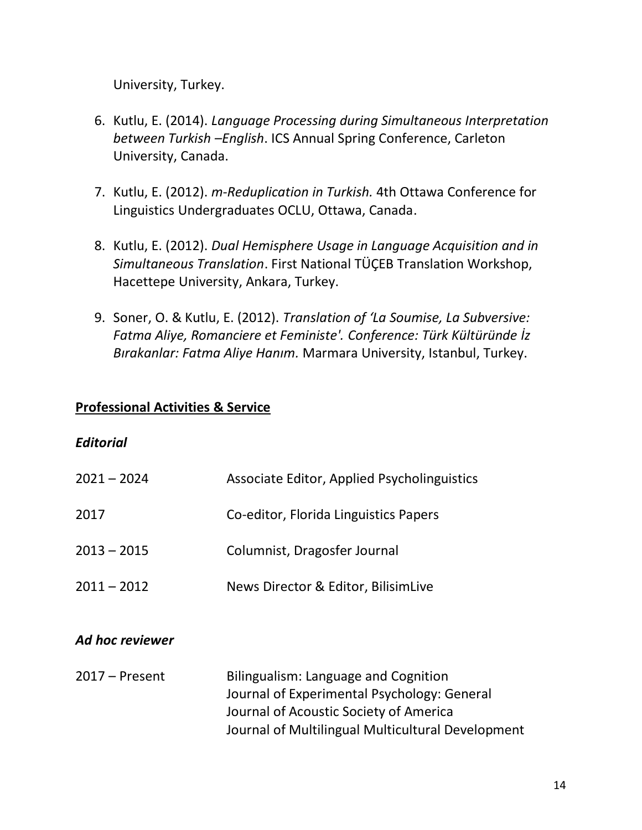University, Turkey.

- 6. Kutlu, E. (2014). *Language Processing during Simultaneous Interpretation between Turkish –English*. ICS Annual Spring Conference, Carleton University, Canada.
- 7. Kutlu, E. (2012). *m-Reduplication in Turkish.* 4th Ottawa Conference for Linguistics Undergraduates OCLU, Ottawa, Canada.
- 8. Kutlu, E. (2012). *Dual Hemisphere Usage in Language Acquisition and in Simultaneous Translation*. First National TÜÇEB Translation Workshop, Hacettepe University, Ankara, Turkey.
- 9. Soner, O. & Kutlu, E. (2012). *Translation of 'La Soumise, La Subversive: Fatma Aliye, Romanciere et Feministe'. Conference: Türk Kültüründe İz Bırakanlar: Fatma Aliye Hanım.* Marmara University, Istanbul, Turkey.

#### **Professional Activities & Service**

#### *Editorial*

| $2021 - 2024$ | Associate Editor, Applied Psycholinguistics |
|---------------|---------------------------------------------|
| 2017          | Co-editor, Florida Linguistics Papers       |
| $2013 - 2015$ | Columnist, Dragosfer Journal                |
| $2011 - 2012$ | News Director & Editor, BilisimLive         |

#### *Ad hoc reviewer*

2017 – Present Bilingualism: Language and Cognition Journal of Experimental Psychology: General Journal of Acoustic Society of America Journal of Multilingual Multicultural Development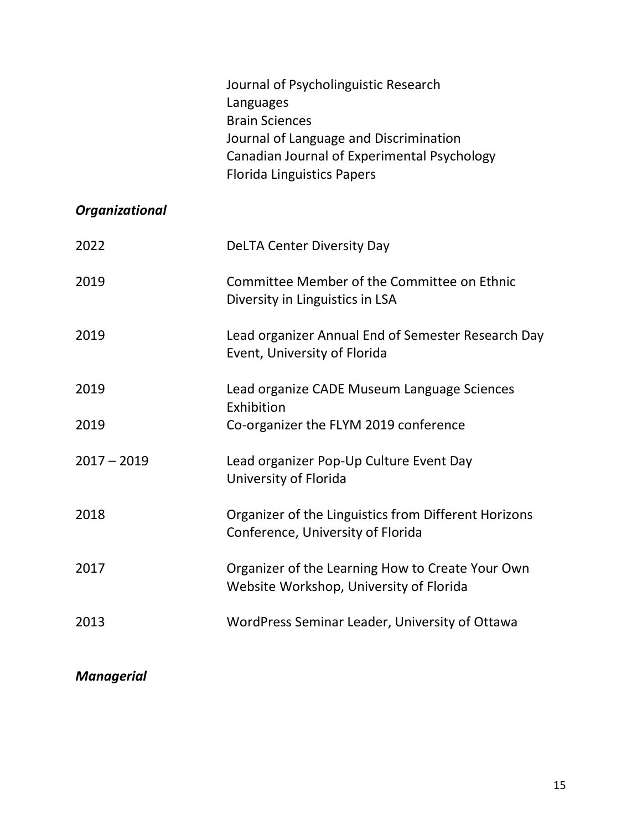# *Organizational*

| 2022          | <b>DeLTA Center Diversity Day</b>                                                           |
|---------------|---------------------------------------------------------------------------------------------|
| 2019          | Committee Member of the Committee on Ethnic<br>Diversity in Linguistics in LSA              |
| 2019          | Lead organizer Annual End of Semester Research Day<br>Event, University of Florida          |
| 2019          | Lead organize CADE Museum Language Sciences<br>Exhibition                                   |
| 2019          | Co-organizer the FLYM 2019 conference                                                       |
| $2017 - 2019$ | Lead organizer Pop-Up Culture Event Day<br>University of Florida                            |
| 2018          | Organizer of the Linguistics from Different Horizons<br>Conference, University of Florida   |
| 2017          | Organizer of the Learning How to Create Your Own<br>Website Workshop, University of Florida |
| 2013          | WordPress Seminar Leader, University of Ottawa                                              |

# *Managerial*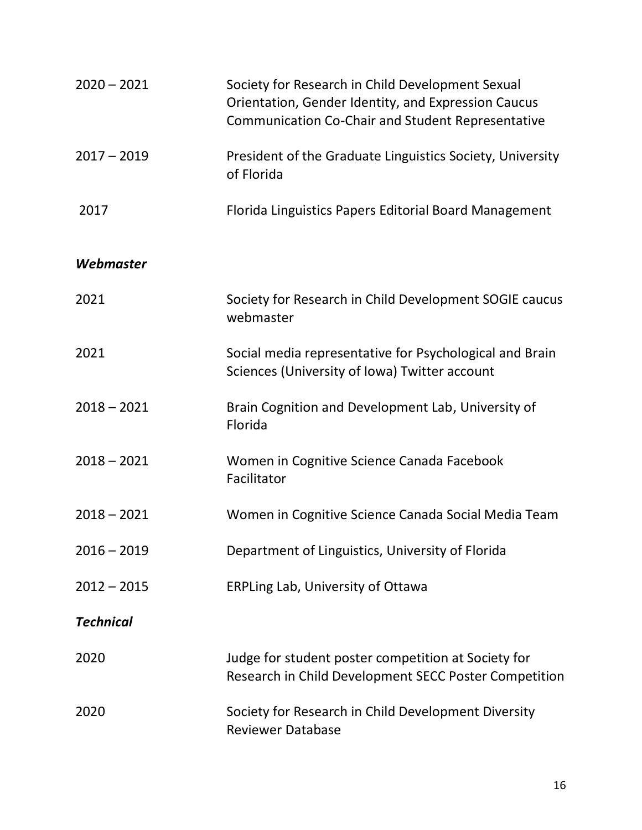| $2020 - 2021$    | Society for Research in Child Development Sexual<br>Orientation, Gender Identity, and Expression Caucus<br><b>Communication Co-Chair and Student Representative</b> |
|------------------|---------------------------------------------------------------------------------------------------------------------------------------------------------------------|
| $2017 - 2019$    | President of the Graduate Linguistics Society, University<br>of Florida                                                                                             |
| 2017             | Florida Linguistics Papers Editorial Board Management                                                                                                               |
| Webmaster        |                                                                                                                                                                     |
| 2021             | Society for Research in Child Development SOGIE caucus<br>webmaster                                                                                                 |
| 2021             | Social media representative for Psychological and Brain<br>Sciences (University of Iowa) Twitter account                                                            |
| $2018 - 2021$    | Brain Cognition and Development Lab, University of<br>Florida                                                                                                       |
| $2018 - 2021$    | Women in Cognitive Science Canada Facebook<br>Facilitator                                                                                                           |
| $2018 - 2021$    | Women in Cognitive Science Canada Social Media Team                                                                                                                 |
| $2016 - 2019$    | Department of Linguistics, University of Florida                                                                                                                    |
| $2012 - 2015$    | ERPLing Lab, University of Ottawa                                                                                                                                   |
| <b>Technical</b> |                                                                                                                                                                     |
| 2020             | Judge for student poster competition at Society for<br>Research in Child Development SECC Poster Competition                                                        |
| 2020             | Society for Research in Child Development Diversity<br><b>Reviewer Database</b>                                                                                     |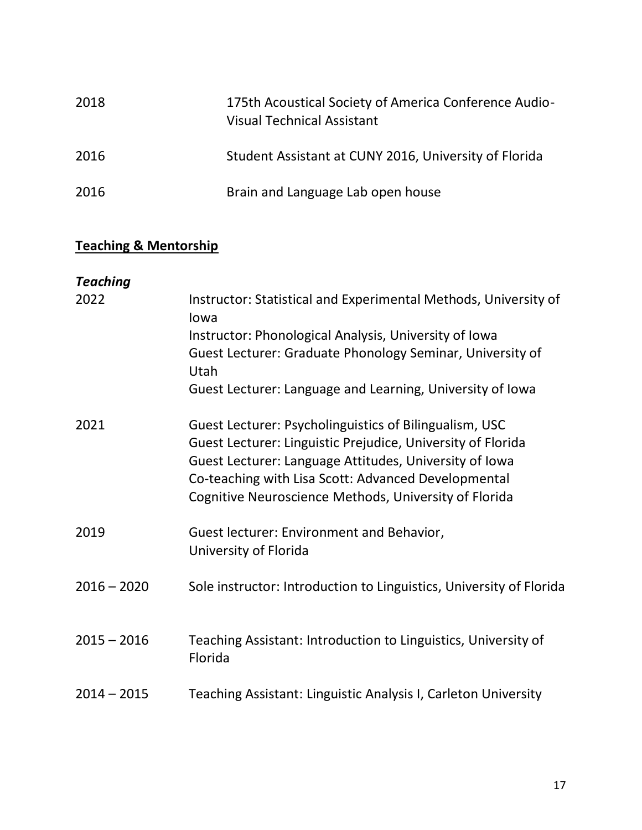| 2018 | 175th Acoustical Society of America Conference Audio-<br><b>Visual Technical Assistant</b> |
|------|--------------------------------------------------------------------------------------------|
| 2016 | Student Assistant at CUNY 2016, University of Florida                                      |
| 2016 | Brain and Language Lab open house                                                          |

# **Teaching & Mentorship**

| <b>Teaching</b> |                                                                                                                                                                                                                                                                                                 |
|-----------------|-------------------------------------------------------------------------------------------------------------------------------------------------------------------------------------------------------------------------------------------------------------------------------------------------|
| 2022            | Instructor: Statistical and Experimental Methods, University of<br>lowa                                                                                                                                                                                                                         |
|                 | Instructor: Phonological Analysis, University of Iowa                                                                                                                                                                                                                                           |
|                 | Guest Lecturer: Graduate Phonology Seminar, University of<br>Utah                                                                                                                                                                                                                               |
|                 | Guest Lecturer: Language and Learning, University of Iowa                                                                                                                                                                                                                                       |
| 2021            | Guest Lecturer: Psycholinguistics of Bilingualism, USC<br>Guest Lecturer: Linguistic Prejudice, University of Florida<br>Guest Lecturer: Language Attitudes, University of Iowa<br>Co-teaching with Lisa Scott: Advanced Developmental<br>Cognitive Neuroscience Methods, University of Florida |
| 2019            | Guest lecturer: Environment and Behavior,<br>University of Florida                                                                                                                                                                                                                              |
| $2016 - 2020$   | Sole instructor: Introduction to Linguistics, University of Florida                                                                                                                                                                                                                             |
| $2015 - 2016$   | Teaching Assistant: Introduction to Linguistics, University of<br>Florida                                                                                                                                                                                                                       |
| $2014 - 2015$   | Teaching Assistant: Linguistic Analysis I, Carleton University                                                                                                                                                                                                                                  |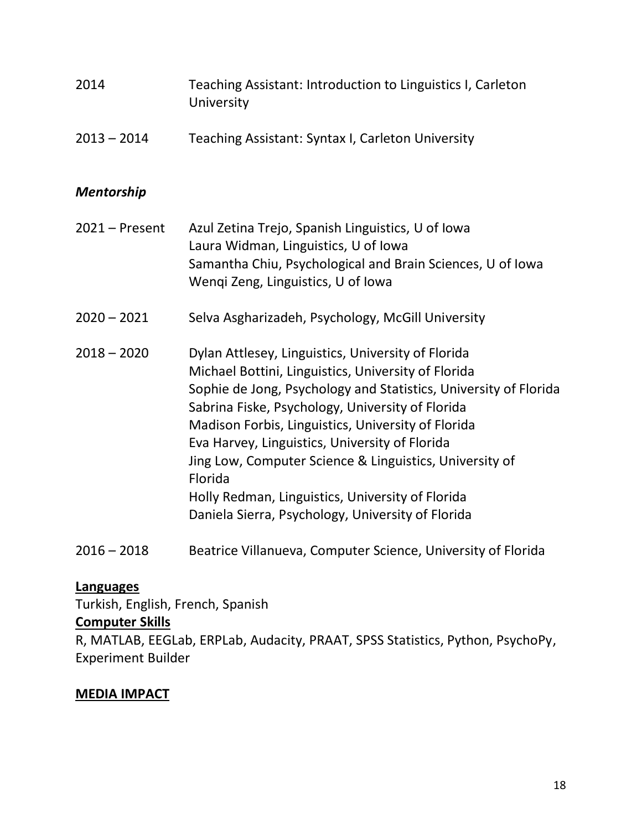| 2014              | Teaching Assistant: Introduction to Linguistics I, Carleton<br>University                                                                                                                                                                                                                                                                                                                                                                                                                                                |
|-------------------|--------------------------------------------------------------------------------------------------------------------------------------------------------------------------------------------------------------------------------------------------------------------------------------------------------------------------------------------------------------------------------------------------------------------------------------------------------------------------------------------------------------------------|
| $2013 - 2014$     | Teaching Assistant: Syntax I, Carleton University                                                                                                                                                                                                                                                                                                                                                                                                                                                                        |
| <b>Mentorship</b> |                                                                                                                                                                                                                                                                                                                                                                                                                                                                                                                          |
| $2021 -$ Present  | Azul Zetina Trejo, Spanish Linguistics, U of Iowa<br>Laura Widman, Linguistics, U of Iowa<br>Samantha Chiu, Psychological and Brain Sciences, U of Iowa<br>Wenqi Zeng, Linguistics, U of Iowa                                                                                                                                                                                                                                                                                                                            |
| $2020 - 2021$     | Selva Asgharizadeh, Psychology, McGill University                                                                                                                                                                                                                                                                                                                                                                                                                                                                        |
| $2018 - 2020$     | Dylan Attlesey, Linguistics, University of Florida<br>Michael Bottini, Linguistics, University of Florida<br>Sophie de Jong, Psychology and Statistics, University of Florida<br>Sabrina Fiske, Psychology, University of Florida<br>Madison Forbis, Linguistics, University of Florida<br>Eva Harvey, Linguistics, University of Florida<br>Jing Low, Computer Science & Linguistics, University of<br>Florida<br>Holly Redman, Linguistics, University of Florida<br>Daniela Sierra, Psychology, University of Florida |
| $2016 - 2018$     | Beatrice Villanueva, Computer Science, University of Florida                                                                                                                                                                                                                                                                                                                                                                                                                                                             |

### **Languages**

Turkish, English, French, Spanish

#### **Computer Skills**

R, MATLAB, EEGLab, ERPLab, Audacity, PRAAT, SPSS Statistics, Python, PsychoPy, Experiment Builder

#### **MEDIA IMPACT**